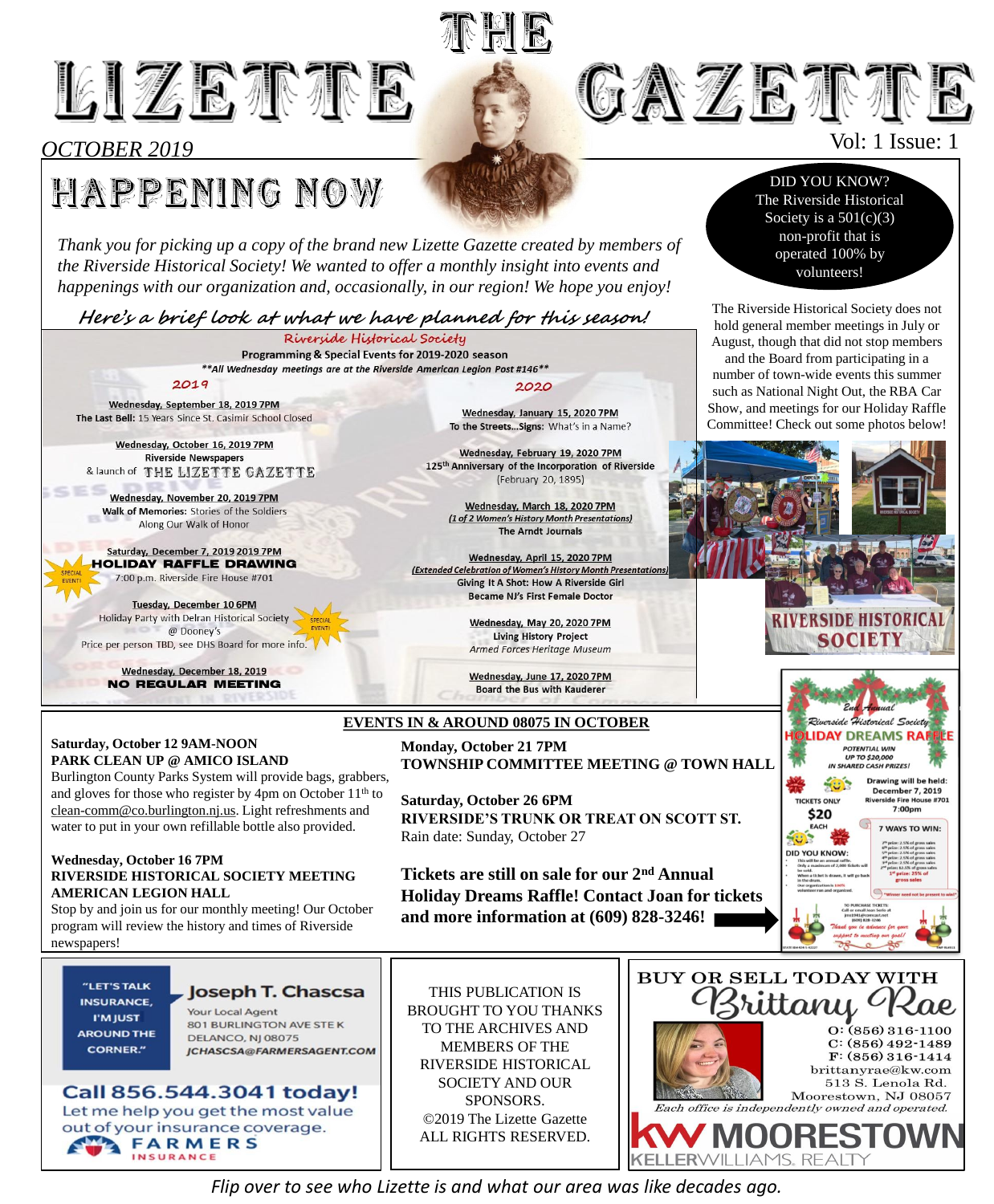

# *OCTOBER 2019*

 $C<sub>1</sub>$ 

# **HAPPENING NOW**

*Thank you for picking up a copy of the brand new Lizette Gazette created by members of the Riverside Historical Society! We wanted to offer a monthly insight into events and happenings with our organization and, occasionally, in our region! We hope you enjoy!* 

**Here's a brief look at what we have planned for this season!**

Riverside Historical Society Programming & Special Events for 2019-2020 season \*\* All Wednesday meetings are at the Riverside American Legion Post #146\*\*  $2019$ 2020 Wednesday, January 15, 2020 7PM

Wednesday, September 18, 2019 7PM The Last Bell: 15 Years Since St. Casimir School Closed

Wednesday, October 16, 2019 7PM **Riverside Newspapers** & launch of THE LIZETTE GAZETTE

Wednesday, November 20, 2019 7PM Walk of Memories: Stories of the Soldiers Along Our Walk of Honor

Saturday, December 7, 2019 2019 7PM **HOLIDAY RAFFLE DRAWING** 7:00 p.m. Riverside Fire House #701

Tuesday, December 10 6PM Holiday Party with Delran Historical Society @ Dooney's Price per person TBD, see DHS Board for more info.

> Wednesday, December 18, 2019 **NO REGULAR MEETING**

### **Saturday, October 12 9AM-NOON PARK CLEAN UP @ AMICO ISLAND**

Burlington County Parks System will provide bags, grabbers, and gloves for those who register by 4pm on October 11<sup>th</sup> to [clean-comm@co.burlington.nj.us.](mailto:clean-comm@co.burlington.nj.us) Light refreshments and water to put in your own refillable bottle also provided.

### **Wednesday, October 16 7PM RIVERSIDE HISTORICAL SOCIETY MEETING AMERICAN LEGION HALL**

Stop by and join us for our monthly meeting! Our October program will review the history and times of Riverside newspapers!

### "LET'S TALK **INSURANCE. I'M IUST AROUND THE**

## Joseph T. Chascsa

**Your Local Agent** 801 BURLINGTON AVE STEK **DELANCO, NJ 08075** 

### Call 856.544.3041 today! Let me help you get the most value out of your insurance coverage. **FARMERS** INSURANCE

THIS PUBLICATION IS BROUGHT TO YOU THANKS TO THE ARCHIVES AND MEMBERS OF THE SOCIETY AND OUR SPONSORS. ©2019 The Lizette Gazette ALL RIGHTS RESERVED.

# **GAZEIFE**

# Vol: 1 Issue: 1

DID YOU KNOW? The Riverside Historical Society is a  $501(c)(3)$ non-profit that is operated 100% by volunteers!

The Riverside Historical Society does not hold general member meetings in July or August, though that did not stop members

and the Board from participating in a number of town-wide events this summer such as National Night Out, the RBA Car Show, and meetings for our Holiday Raffle Committee! Check out some photos below!







*Flip over to see who Lizette is and what our area was like decades ago.*

Became NJ's First Female Doctor Wednesday, May 20, 2020 7PM **Living History Project** Armed Forces Heritage Museum

> Wednesday, June 17, 2020 7PM **Board the Bus with Kauderer**

To the Streets... Signs: What's in a Name?

Wednesday, February 19, 2020 7PM

125<sup>th</sup> Anniversary of the Incorporation of Riverside

(February 20, 1895)

Wednesday, March 18, 2020 7PM

(1 of 2 Women's History Month Presentations)

**The Arndt Journals** 

Wednesday, April 15, 2020 7PM

**Giving It A Shot: How A Riverside Girl** 

(Extended Celebration of Women's History Month Presentatio

# **EVENTS IN & AROUND 08075 IN OCTOBER**

**TNEIB** 

**Monday, October 21 7PM TOWNSHIP COMMITTEE MEETING @ TOWN HALL**

**Saturday, October 26 6PM RIVERSIDE'S TRUNK OR TREAT ON SCOTT ST.** Rain date: Sunday, October 27

**Tickets are still on sale for our 2nd Annual Holiday Dreams Raffle! Contact Joan for tickets and more information at (609) 828-3246!**